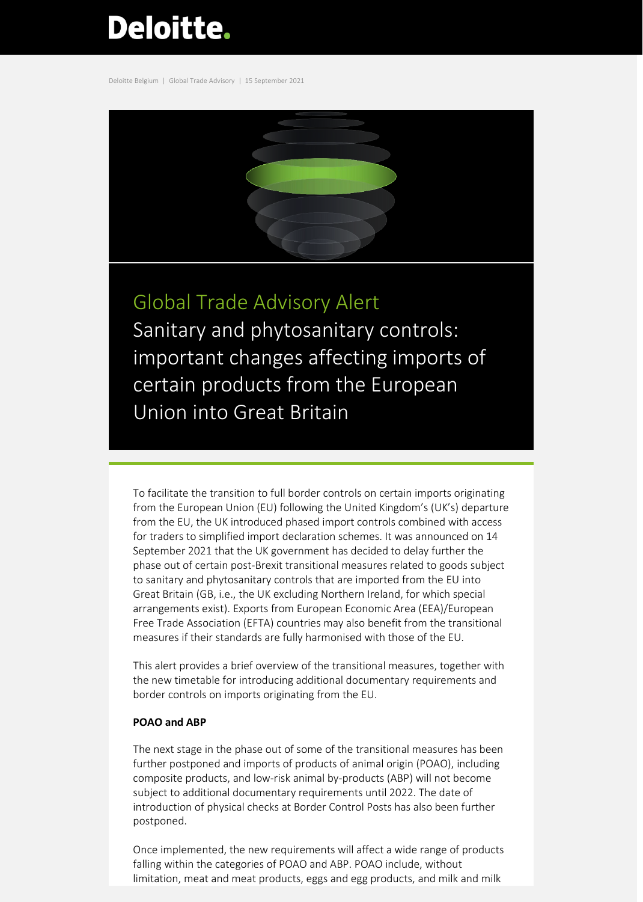# Deloitte.

Deloitte Belgium | Global Trade Advisory | 15 September 2021



# Global Trade Advisory Alert

Sanitary and phytosanitary controls: important changes affecting imports of certain products from the European Union into Great Britain

To facilitate the transition to full border controls on certain imports originating from the European Union (EU) following the United Kingdom's (UK's) departure from the EU, the UK introduced phased import controls combined with access for traders to simplified import declaration schemes. It was announced on 14 September 2021 that the UK government has decided to delay further the phase out of certain post-Brexit transitional measures related to goods subject to sanitary and phytosanitary controls that are imported from the EU into Great Britain (GB, i.e., the UK excluding Northern Ireland, for which special arrangements exist). Exports from European Economic Area (EEA)/European Free Trade Association (EFTA) countries may also benefit from the transitional measures if their standards are fully harmonised with those of the EU.

This alert provides a brief overview of the transitional measures, together with the new timetable for introducing additional documentary requirements and border controls on imports originating from the EU.

## **POAO and ABP**

The next stage in the phase out of some of the transitional measures has been further postponed and imports of products of animal origin (POAO), including composite products, and low-risk animal by-products (ABP) will not become subject to additional documentary requirements until 2022. The date of introduction of physical checks at Border Control Posts has also been further postponed.

Once implemented, the new requirements will affect a wide range of products falling within the categories of POAO and ABP. POAO include, without limitation, meat and meat products, eggs and egg products, and milk and milk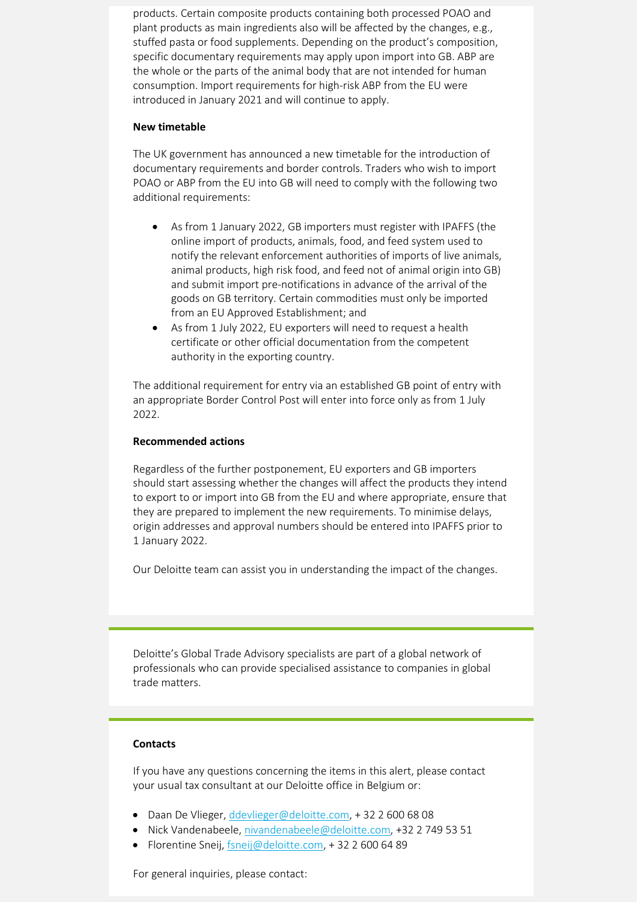products. Certain composite products containing both processed POAO and plant products as main ingredients also will be affected by the changes, e.g., stuffed pasta or food supplements. Depending on the product's composition, specific documentary requirements may apply upon import into GB. ABP are the whole or the parts of the animal body that are not intended for human consumption. Import requirements for high-risk ABP from the EU were introduced in January 2021 and will continue to apply.

#### **New timetable**

The UK government has announced a new timetable for the introduction of documentary requirements and border controls. Traders who wish to import POAO or ABP from the EU into GB will need to comply with the following two additional requirements:

- As from 1 January 2022, GB importers must register with IPAFFS (the online import of products, animals, food, and feed system used to notify the relevant enforcement authorities of imports of live animals, animal products, high risk food, and feed not of animal origin into GB) and submit import pre-notifications in advance of the arrival of the goods on GB territory. Certain commodities must only be imported from an EU Approved Establishment; and
- As from 1 July 2022, EU exporters will need to request a health certificate or other official documentation from the competent authority in the exporting country.

The additional requirement for entry via an established GB point of entry with an appropriate Border Control Post will enter into force only as from 1 July 2022.

#### **Recommended actions**

Regardless of the further postponement, EU exporters and GB importers should start assessing whether the changes will affect the products they intend to export to or import into GB from the EU and where appropriate, ensure that they are prepared to implement the new requirements. To minimise delays, origin addresses and approval numbers should be entered into IPAFFS prior to 1 January 2022.

Our Deloitte team can assist you in understanding the impact of the changes.

Deloitte's Global Trade Advisory specialists are part of a global network of professionals who can provide specialised assistance to companies in global trade matters.

#### **Contacts**

If you have any questions concerning the items in this alert, please contact your usual tax consultant at our Deloitte office in Belgium or:

- Daan De Vlieger, [ddevlieger@deloitte.com,](mailto:ddevlieger@deloitte.com) + 32 2 600 68 08
- · Nick Vandenabeele, [nivandenabeele@deloitte.com,](mailto:nivandenabeele@deloitte.com) +32 2 749 53 51
- Florentine Sneij, [fsneij@deloitte.com,](mailto:fsneij@deloitte.com) +32 2 600 64 89

For general inquiries, please contact: